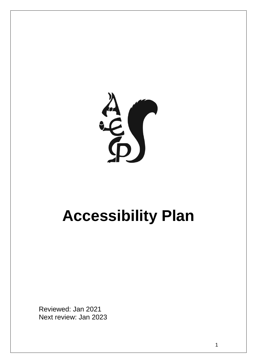

# **Accessibility Plan**

Reviewed: Jan 2021 Next review: Jan 2023

1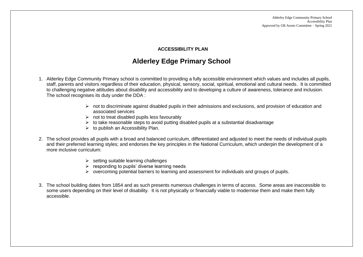Alderley Edge Community Primary School Accessibility Plan Approved by GB Assets Committee – Spring 2021

### **ACCESSIBILITY PLAN**

# **Alderley Edge Primary School**

- 1. Alderley Edge Community Primary school is committed to providing a fully accessible environment which values and includes all pupils, staff, parents and visitors regardless of their education, physical, sensory, social, spiritual, emotional and cultural needs. It is committed to challenging negative attitudes about disability and accessibility and to developing a culture of awareness, tolerance and inclusion. The school recognises its duty under the DDA :
	- ➢ not to discriminate against disabled pupils in their admissions and exclusions, and provision of education and associated services
	- $\triangleright$  not to treat disabled pupils less favourably
	- $\triangleright$  to take reasonable steps to avoid putting disabled pupils at a substantial disadvantage
	- $\triangleright$  to publish an Accessibility Plan.
- 2. The school provides all pupils with a broad and balanced curriculum, differentiated and adjusted to meet the needs of individual pupils and their preferred learning styles; and endorses the key principles in the National Curriculum, which underpin the development of a more inclusive curriculum:
	- $\triangleright$  setting suitable learning challenges
	- $\triangleright$  responding to pupils' diverse learning needs
	- ➢ overcoming potential barriers to learning and assessment for individuals and groups of pupils.
- 3. The school building dates from 1854 and as such presents numerous challenges in terms of access. Some areas are inaccessible to some users depending on their level of disability. It is not physically or financially viable to modernise them and make them fully accessible.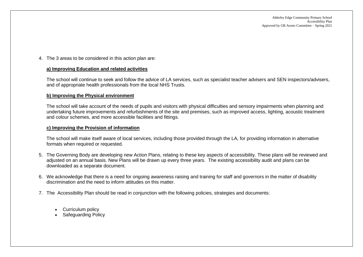Alderley Edge Community Primary School Accessibility Plan Approved by GB Assets Committee – Spring 2021

#### 4. The 3 areas to be considered in this action plan are:

#### **a) Improving Education and related activities**

The school will continue to seek and follow the advice of LA services, such as specialist teacher advisers and SEN inspectors/advisers, and of appropriate health professionals from the local NHS Trusts.

#### **b) Improving the Physical environment**

The school will take account of the needs of pupils and visitors with physical difficulties and sensory impairments when planning and undertaking future improvements and refurbishments of the site and premises, such as improved access, lighting, acoustic treatment and colour schemes, and more accessible facilities and fittings.

#### **c) Improving the Provision of information**

The school will make itself aware of local services, including those provided through the LA, for providing information in alternative formats when required or requested.

- 5. The Governing Body are developing new Action Plans, relating to these key aspects of accessibility. These plans will be reviewed and adjusted on an annual basis. New Plans will be drawn up every three years. The existing accessibility audit and plans can be downloaded as a separate document.
- 6. We acknowledge that there is a need for ongoing awareness raising and training for staff and governors in the matter of disability discrimination and the need to inform attitudes on this matter.
- 7. The Accessibility Plan should be read in conjunction with the following policies, strategies and documents:
	- Curriculum policy
	- Safeguarding Policy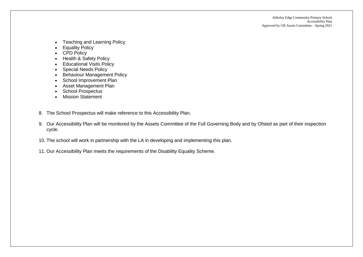- Teaching and Learning Policy
- Equality Policy
- CPD Policy
- Health & Safety Policy
- Educational Visits Policy
- Special Needs Policy
- Behaviour Management Policy
- School Improvement Plan
- Asset Management Plan
- School Prospectus
- Mission Statement
- 8. The School Prospectus will make reference to this Accessibility Plan.
- 9. Our Accessibility Plan will be monitored by the Assets Committee of the Full Governing Body and by Ofsted as part of their inspection cycle.
- 10. The school will work in partnership with the LA in developing and implementing this plan.
- 11. Our Accessibility Plan meets the requirements of the Disability Equality Scheme.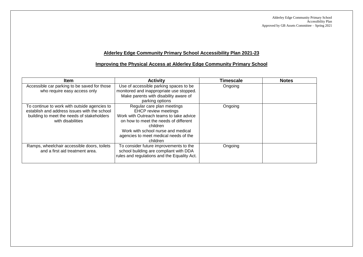# **Alderley Edge Community Primary School Accessibility Plan 2021-23**

# **Improving the Physical Access at Alderley Edge Community Primary School**

| Item                                                                                                                                                            | <b>Activity</b>                                                                                                                                                                                                                                      | Timescale | <b>Notes</b> |
|-----------------------------------------------------------------------------------------------------------------------------------------------------------------|------------------------------------------------------------------------------------------------------------------------------------------------------------------------------------------------------------------------------------------------------|-----------|--------------|
| Accessible car parking to be saved for those<br>who require easy access only                                                                                    | Use of accessible parking spaces to be<br>monitored and inappropriate use stopped.<br>Make parents with disability aware of<br>parking options                                                                                                       | Ongoing   |              |
| To continue to work with outside agencies to<br>establish and address issues with the school<br>building to meet the needs of stakeholders<br>with disabilities | Regular care plan meetings<br><b>EHCP</b> review meetings<br>Work with Outreach teams to take advice<br>on how to meet the needs of different<br>children<br>Work with school nurse and medical<br>agencies to meet medical needs of the<br>children | Ongoing   |              |
| Ramps, wheelchair accessible doors, toilets<br>and a first aid treatment area.                                                                                  | To consider future improvements to the<br>school building are compliant with DDA<br>rules and regulations and the Equality Act.                                                                                                                      | Ongoing   |              |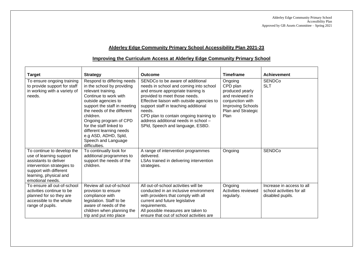### **Alderley Edge Community Primary School Accessibility Plan 2021-23**

# **Improving the Curriculum Access at Alderley Edge Community Primary School**

| <b>Target</b>                                                                                                                                                                        | <b>Strategy</b>                                                                                                                                                                                                                                                                                                                                            | <b>Outcome</b>                                                                                                                                                                                                                                                                                                                                                           | <b>Timeframe</b>                                                                                                                        | <b>Achievement</b>                                                         |
|--------------------------------------------------------------------------------------------------------------------------------------------------------------------------------------|------------------------------------------------------------------------------------------------------------------------------------------------------------------------------------------------------------------------------------------------------------------------------------------------------------------------------------------------------------|--------------------------------------------------------------------------------------------------------------------------------------------------------------------------------------------------------------------------------------------------------------------------------------------------------------------------------------------------------------------------|-----------------------------------------------------------------------------------------------------------------------------------------|----------------------------------------------------------------------------|
| To ensure ongoing training<br>to provide support for staff<br>in working with a variety of<br>needs.                                                                                 | Respond to differing needs<br>in the school by providing<br>relevant training.<br>Continue to work with<br>outside agencies to<br>support the staff in meeting<br>the needs of the different<br>children.<br>Ongoing program of CPD<br>for the staff linked to<br>different learning needs<br>e.g ASD, ADHD, Spld,<br>Speech and Language<br>difficulties. | SENDCo to be aware of additional<br>needs in school and coming into school<br>and ensure appropriate training is<br>provided to meet those needs.<br>Effective liaison with outside agencies to<br>support staff in teaching additional<br>needs.<br>CPD plan to contain ongoing training to<br>address additional needs in school -<br>SPId, Speech and language, ESBD. | Ongoing<br>CPD plan<br>produced yearly<br>and reviewed in<br>conjunction with<br><b>Improving Schools</b><br>Plan and Strategic<br>Plan | <b>SENDCo</b><br><b>SLT</b>                                                |
| To continue to develop the<br>use of learning support<br>assistants to deliver<br>intervention strategies to<br>support with different<br>learning, physical and<br>emotional needs. | To continually look for<br>additional programmes to<br>support the needs of the<br>children.                                                                                                                                                                                                                                                               | A range of intervention programmes<br>delivered.<br>LSAs trained in delivering intervention<br>strategies.                                                                                                                                                                                                                                                               | Ongoing                                                                                                                                 | <b>SENDCo</b>                                                              |
| To ensure all out-of-school<br>activities continue to be<br>planned for so they are<br>accessible to the whole<br>range of pupils.                                                   | Review all out-of-school<br>provision to ensure<br>compliance with<br>legislation. Staff to be<br>aware of needs of the<br>children when planning the<br>trip and put into place                                                                                                                                                                           | All out-of-school activities will be<br>conducted in an inclusive environment<br>with providers that comply with all<br>current and future legislative<br>requirements.<br>All possible measures are taken to<br>ensure that out of school activities are                                                                                                                | Ongoing<br>Activities reviewed<br>regularly.                                                                                            | Increase in access to all<br>school activities for all<br>disabled pupils. |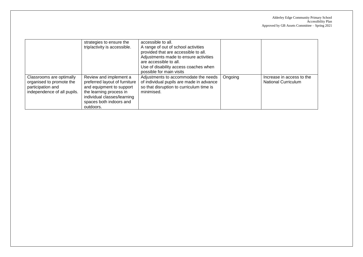|                                                                                                          | strategies to ensure the<br>trip/activity is accessible.                                                                                                                              | accessible to all.<br>A range of out of school activities<br>provided that are accessible to all.<br>Adjustments made to ensure activities<br>are accessible to all.<br>Use of disability access coaches when<br>possible for main visits |         |                                                         |
|----------------------------------------------------------------------------------------------------------|---------------------------------------------------------------------------------------------------------------------------------------------------------------------------------------|-------------------------------------------------------------------------------------------------------------------------------------------------------------------------------------------------------------------------------------------|---------|---------------------------------------------------------|
| Classrooms are optimally<br>organised to promote the<br>participation and<br>independence of all pupils. | Review and implement a<br>preferred layout of furniture<br>and equipment to support<br>the learning process in<br>individual classes/learning<br>spaces both indoors and<br>outdoors. | Adjustments to accommodate the needs<br>of individual pupils are made in advance<br>so that disruption to curriculum time is<br>minimised.                                                                                                | Ongoing | Increase in access to the<br><b>National Curriculum</b> |